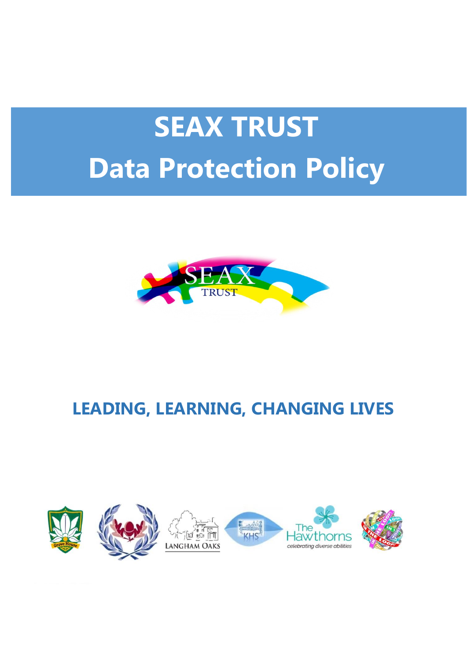# **SEAX TRUST Data Protection Policy**



# **LEADING, LEARNING, CHANGING LIVES**

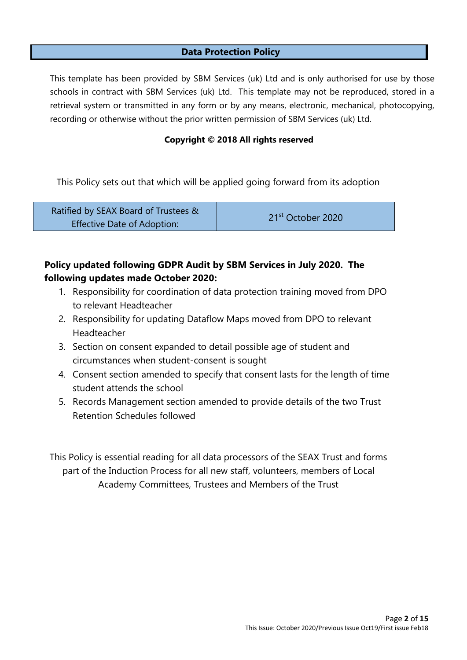#### **Data Protection Policy**

This template has been provided by SBM Services (uk) Ltd and is only authorised for use by those schools in contract with SBM Services (uk) Ltd. This template may not be reproduced, stored in a retrieval system or transmitted in any form or by any means, electronic, mechanical, photocopying, recording or otherwise without the prior written permission of SBM Services (uk) Ltd.

#### **Copyright © 2018 All rights reserved**

This Policy sets out that which will be applied going forward from its adoption

| Ratified by SEAX Board of Trustees & | 21 <sup>st</sup> October 2020 |
|--------------------------------------|-------------------------------|
| <b>Effective Date of Adoption:</b>   |                               |

#### **Policy updated following GDPR Audit by SBM Services in July 2020. The following updates made October 2020:**

- 1. Responsibility for coordination of data protection training moved from DPO to relevant Headteacher
- 2. Responsibility for updating Dataflow Maps moved from DPO to relevant Headteacher
- 3. Section on consent expanded to detail possible age of student and circumstances when student-consent is sought
- 4. Consent section amended to specify that consent lasts for the length of time student attends the school
- 5. Records Management section amended to provide details of the two Trust Retention Schedules followed

This Policy is essential reading for all data processors of the SEAX Trust and forms part of the Induction Process for all new staff, volunteers, members of Local Academy Committees, Trustees and Members of the Trust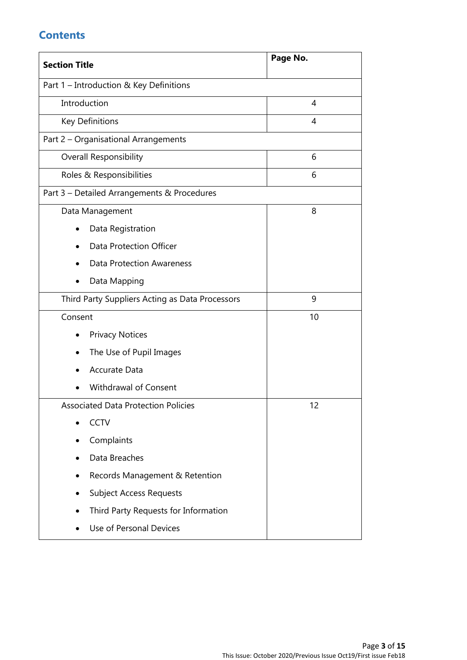## **Contents**

| <b>Section Title</b>                            | Page No.       |  |
|-------------------------------------------------|----------------|--|
| Part 1 - Introduction & Key Definitions         |                |  |
| Introduction                                    | 4              |  |
| <b>Key Definitions</b>                          | $\overline{4}$ |  |
| Part 2 - Organisational Arrangements            |                |  |
| <b>Overall Responsibility</b>                   | 6              |  |
| Roles & Responsibilities                        | 6              |  |
| Part 3 - Detailed Arrangements & Procedures     |                |  |
| Data Management                                 | 8              |  |
| Data Registration                               |                |  |
| <b>Data Protection Officer</b>                  |                |  |
| <b>Data Protection Awareness</b>                |                |  |
| Data Mapping<br>٠                               |                |  |
| Third Party Suppliers Acting as Data Processors | 9              |  |
| Consent                                         | 10             |  |
| <b>Privacy Notices</b>                          |                |  |
| The Use of Pupil Images                         |                |  |
| <b>Accurate Data</b>                            |                |  |
| Withdrawal of Consent                           |                |  |
| Associated Data Protection Policies             | 12             |  |
| <b>CCTV</b>                                     |                |  |
| Complaints                                      |                |  |
| Data Breaches                                   |                |  |
| Records Management & Retention                  |                |  |
| <b>Subject Access Requests</b>                  |                |  |
| Third Party Requests for Information            |                |  |
| Use of Personal Devices                         |                |  |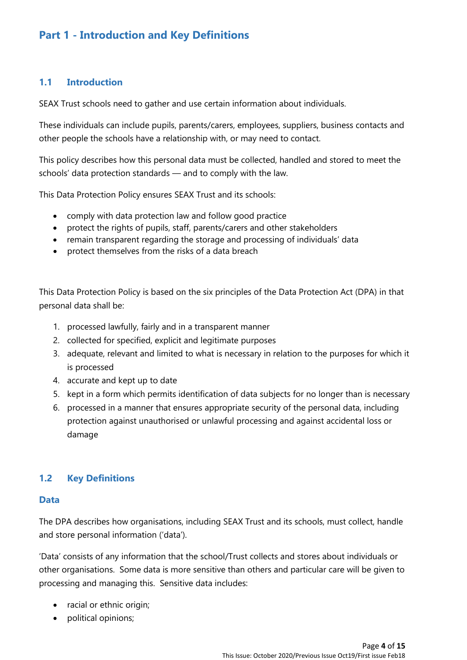## **Part 1 - Introduction and Key Definitions**

#### **1.1 Introduction**

SEAX Trust schools need to gather and use certain information about individuals.

These individuals can include pupils, parents/carers, employees, suppliers, business contacts and other people the schools have a relationship with, or may need to contact.

This policy describes how this personal data must be collected, handled and stored to meet the schools' data protection standards — and to comply with the law.

This Data Protection Policy ensures SEAX Trust and its schools:

- comply with data protection law and follow good practice
- protect the rights of pupils, staff, parents/carers and other stakeholders
- remain transparent regarding the storage and processing of individuals' data
- protect themselves from the risks of a data breach

This Data Protection Policy is based on the six principles of the Data Protection Act (DPA) in that personal data shall be:

- 1. processed lawfully, fairly and in a transparent manner
- 2. collected for specified, explicit and legitimate purposes
- 3. adequate, relevant and limited to what is necessary in relation to the purposes for which it is processed
- 4. accurate and kept up to date
- 5. kept in a form which permits identification of data subjects for no longer than is necessary
- 6. processed in a manner that ensures appropriate security of the personal data, including protection against unauthorised or unlawful processing and against accidental loss or damage

#### **1.2 Key Definitions**

#### **Data**

The DPA describes how organisations, including SEAX Trust and its schools, must collect, handle and store personal information ('data').

'Data' consists of any information that the school/Trust collects and stores about individuals or other organisations. Some data is more sensitive than others and particular care will be given to processing and managing this. Sensitive data includes:

- racial or ethnic origin;
- political opinions;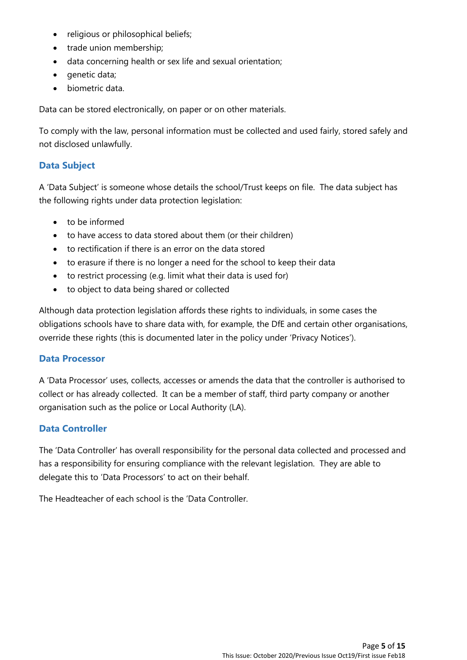- religious or philosophical beliefs;
- trade union membership;
- data concerning health or sex life and sexual orientation;
- genetic data;
- biometric data.

Data can be stored electronically, on paper or on other materials.

To comply with the law, personal information must be collected and used fairly, stored safely and not disclosed unlawfully.

#### **Data Subject**

A 'Data Subject' is someone whose details the school/Trust keeps on file. The data subject has the following rights under data protection legislation:

- to be informed
- to have access to data stored about them (or their children)
- to rectification if there is an error on the data stored
- to erasure if there is no longer a need for the school to keep their data
- to restrict processing (e.g. limit what their data is used for)
- to object to data being shared or collected

Although data protection legislation affords these rights to individuals, in some cases the obligations schools have to share data with, for example, the DfE and certain other organisations, override these rights (this is documented later in the policy under 'Privacy Notices').

#### **Data Processor**

A 'Data Processor' uses, collects, accesses or amends the data that the controller is authorised to collect or has already collected. It can be a member of staff, third party company or another organisation such as the police or Local Authority (LA).

#### **Data Controller**

The 'Data Controller' has overall responsibility for the personal data collected and processed and has a responsibility for ensuring compliance with the relevant legislation. They are able to delegate this to 'Data Processors' to act on their behalf.

The Headteacher of each school is the 'Data Controller.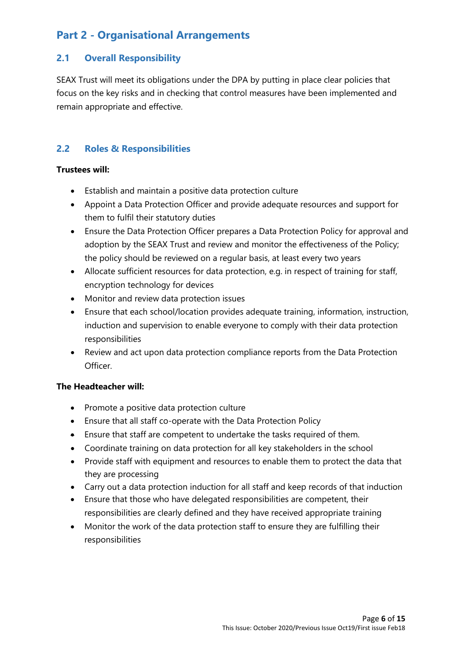# **Part 2 - Organisational Arrangements**

#### **2.1 Overall Responsibility**

SEAX Trust will meet its obligations under the DPA by putting in place clear policies that focus on the key risks and in checking that control measures have been implemented and remain appropriate and effective.

#### **2.2 Roles & Responsibilities**

#### **Trustees will:**

- Establish and maintain a positive data protection culture
- Appoint a Data Protection Officer and provide adequate resources and support for them to fulfil their statutory duties
- Ensure the Data Protection Officer prepares a Data Protection Policy for approval and adoption by the SEAX Trust and review and monitor the effectiveness of the Policy; the policy should be reviewed on a regular basis, at least every two years
- Allocate sufficient resources for data protection, e.g. in respect of training for staff, encryption technology for devices
- Monitor and review data protection issues
- Ensure that each school/location provides adequate training, information, instruction, induction and supervision to enable everyone to comply with their data protection responsibilities
- Review and act upon data protection compliance reports from the Data Protection Officer.

#### **The Headteacher will:**

- Promote a positive data protection culture
- Ensure that all staff co-operate with the Data Protection Policy
- Ensure that staff are competent to undertake the tasks required of them.
- Coordinate training on data protection for all key stakeholders in the school
- Provide staff with equipment and resources to enable them to protect the data that they are processing
- Carry out a data protection induction for all staff and keep records of that induction
- Ensure that those who have delegated responsibilities are competent, their responsibilities are clearly defined and they have received appropriate training
- Monitor the work of the data protection staff to ensure they are fulfilling their responsibilities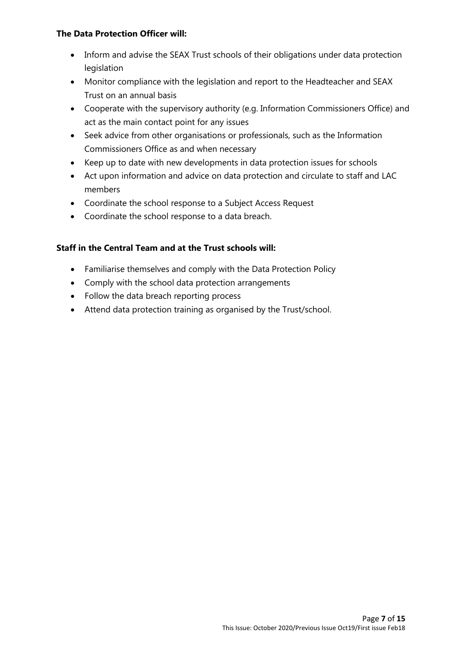#### **The Data Protection Officer will:**

- Inform and advise the SEAX Trust schools of their obligations under data protection legislation
- Monitor compliance with the legislation and report to the Headteacher and SEAX Trust on an annual basis
- Cooperate with the supervisory authority (e.g. Information Commissioners Office) and act as the main contact point for any issues
- Seek advice from other organisations or professionals, such as the Information Commissioners Office as and when necessary
- Keep up to date with new developments in data protection issues for schools
- Act upon information and advice on data protection and circulate to staff and LAC members
- Coordinate the school response to a Subject Access Request
- Coordinate the school response to a data breach.

#### **Staff in the Central Team and at the Trust schools will:**

- Familiarise themselves and comply with the Data Protection Policy
- Comply with the school data protection arrangements
- Follow the data breach reporting process
- Attend data protection training as organised by the Trust/school.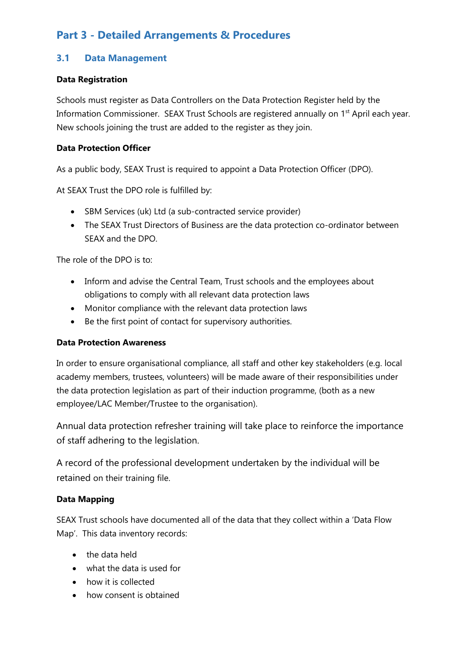# **Part 3 - Detailed Arrangements & Procedures**

#### **3.1 Data Management**

#### **Data Registration**

Schools must register as Data Controllers on the Data Protection Register held by the Information Commissioner. SEAX Trust Schools are registered annually on 1<sup>st</sup> April each year. New schools joining the trust are added to the register as they join.

#### **Data Protection Officer**

As a public body, SEAX Trust is required to appoint a Data Protection Officer (DPO).

At SEAX Trust the DPO role is fulfilled by:

- SBM Services (uk) Ltd (a sub-contracted service provider)
- The SEAX Trust Directors of Business are the data protection co-ordinator between SEAX and the DPO.

The role of the DPO is to:

- Inform and advise the Central Team, Trust schools and the employees about obligations to comply with all relevant data protection laws
- Monitor compliance with the relevant data protection laws
- Be the first point of contact for supervisory authorities.

#### **Data Protection Awareness**

In order to ensure organisational compliance, all staff and other key stakeholders (e.g. local academy members, trustees, volunteers) will be made aware of their responsibilities under the data protection legislation as part of their induction programme, (both as a new employee/LAC Member/Trustee to the organisation).

Annual data protection refresher training will take place to reinforce the importance of staff adhering to the legislation.

A record of the professional development undertaken by the individual will be retained on their training file.

#### **Data Mapping**

SEAX Trust schools have documented all of the data that they collect within a 'Data Flow Map'. This data inventory records:

- the data held
- what the data is used for
- how it is collected
- how consent is obtained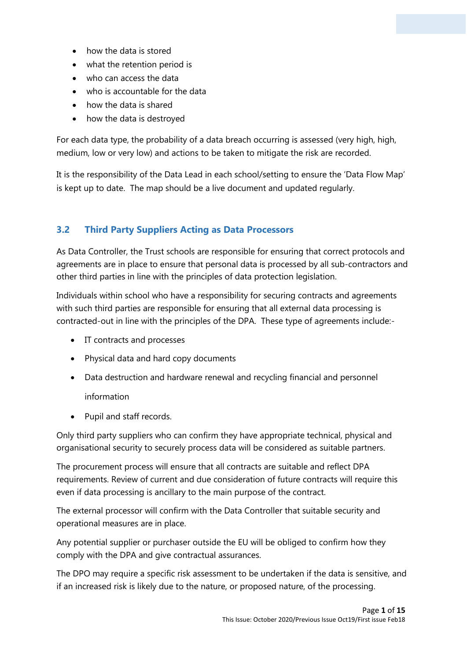- how the data is stored
- what the retention period is
- who can access the data
- who is accountable for the data
- how the data is shared
- how the data is destroyed

For each data type, the probability of a data breach occurring is assessed (very high, high, medium, low or very low) and actions to be taken to mitigate the risk are recorded.

It is the responsibility of the Data Lead in each school/setting to ensure the 'Data Flow Map' is kept up to date. The map should be a live document and updated regularly.

#### **3.2 Third Party Suppliers Acting as Data Processors**

As Data Controller, the Trust schools are responsible for ensuring that correct protocols and agreements are in place to ensure that personal data is processed by all sub-contractors and other third parties in line with the principles of data protection legislation.

Individuals within school who have a responsibility for securing contracts and agreements with such third parties are responsible for ensuring that all external data processing is contracted-out in line with the principles of the DPA. These type of agreements include:-

- IT contracts and processes
- Physical data and hard copy documents
- Data destruction and hardware renewal and recycling financial and personnel

information

• Pupil and staff records.

Only third party suppliers who can confirm they have appropriate technical, physical and organisational security to securely process data will be considered as suitable partners.

The procurement process will ensure that all contracts are suitable and reflect DPA requirements. Review of current and due consideration of future contracts will require this even if data processing is ancillary to the main purpose of the contract.

The external processor will confirm with the Data Controller that suitable security and operational measures are in place.

Any potential supplier or purchaser outside the EU will be obliged to confirm how they comply with the DPA and give contractual assurances.

The DPO may require a specific risk assessment to be undertaken if the data is sensitive, and if an increased risk is likely due to the nature, or proposed nature, of the processing.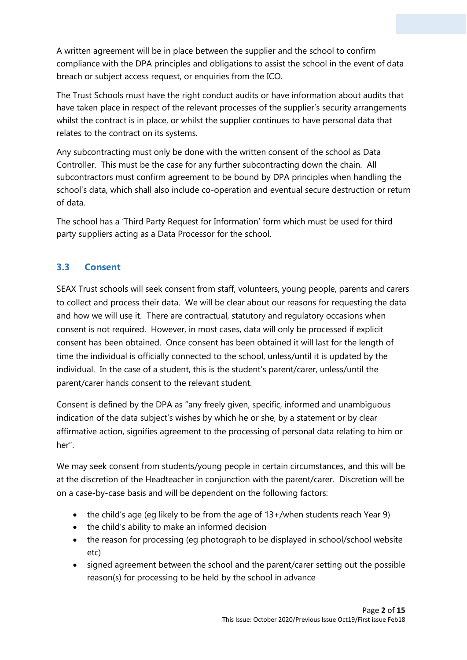A written agreement will be in place between the supplier and the school to confirm compliance with the DPA principles and obligations to assist the school in the event of data breach or subject access request, or enquiries from the ICO.

The Trust Schools must have the right conduct audits or have information about audits that have taken place in respect of the relevant processes of the supplier's security arrangements whilst the contract is in place, or whilst the supplier continues to have personal data that relates to the contract on its systems.

Any subcontracting must only be done with the written consent of the school as Data Controller. This must be the case for any further subcontracting down the chain. All subcontractors must confirm agreement to be bound by DPA principles when handling the school's data, which shall also include co-operation and eventual secure destruction or return of data.

The school has a 'Third Party Request for Information' form which must be used for third party suppliers acting as a Data Processor for the school.

#### **3.3 Consent**

SEAX Trust schools will seek consent from staff, volunteers, young people, parents and carers to collect and process their data. We will be clear about our reasons for requesting the data and how we will use it. There are contractual, statutory and regulatory occasions when consent is not required. However, in most cases, data will only be processed if explicit consent has been obtained. Once consent has been obtained it will last for the length of time the individual is officially connected to the school, unless/until it is updated by the individual. In the case of a student, this is the student's parent/carer, unless/until the parent/carer hands consent to the relevant student.

Consent is defined by the DPA as "any freely given, specific, informed and unambiguous indication of the data subject's wishes by which he or she, by a statement or by clear affirmative action, signifies agreement to the processing of personal data relating to him or her".

We may seek consent from students/young people in certain circumstances, and this will be at the discretion of the Headteacher in conjunction with the parent/carer. Discretion will be on a case-by-case basis and will be dependent on the following factors:

- the child's age (eg likely to be from the age of  $13+/when$  students reach Year 9)
- the child's ability to make an informed decision
- the reason for processing (eg photograph to be displayed in school/school website etc)
- signed agreement between the school and the parent/carer setting out the possible reason(s) for processing to be held by the school in advance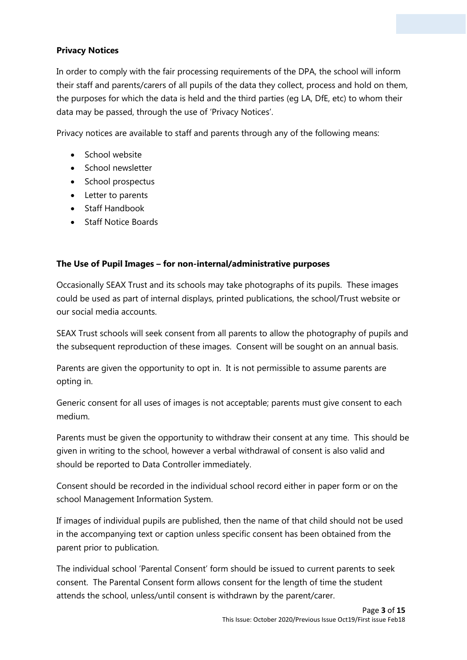#### **Privacy Notices**

In order to comply with the fair processing requirements of the DPA, the school will inform their staff and parents/carers of all pupils of the data they collect, process and hold on them, the purposes for which the data is held and the third parties (eg LA, DfE, etc) to whom their data may be passed, through the use of 'Privacy Notices'.

Privacy notices are available to staff and parents through any of the following means:

- School website
- School newsletter
- School prospectus
- Letter to parents
- Staff Handbook
- Staff Notice Boards

#### **The Use of Pupil Images – for non-internal/administrative purposes**

Occasionally SEAX Trust and its schools may take photographs of its pupils. These images could be used as part of internal displays, printed publications, the school/Trust website or our social media accounts.

SEAX Trust schools will seek consent from all parents to allow the photography of pupils and the subsequent reproduction of these images. Consent will be sought on an annual basis.

Parents are given the opportunity to opt in. It is not permissible to assume parents are opting in.

Generic consent for all uses of images is not acceptable; parents must give consent to each medium.

Parents must be given the opportunity to withdraw their consent at any time. This should be given in writing to the school, however a verbal withdrawal of consent is also valid and should be reported to Data Controller immediately.

Consent should be recorded in the individual school record either in paper form or on the school Management Information System.

If images of individual pupils are published, then the name of that child should not be used in the accompanying text or caption unless specific consent has been obtained from the parent prior to publication.

The individual school 'Parental Consent' form should be issued to current parents to seek consent. The Parental Consent form allows consent for the length of time the student attends the school, unless/until consent is withdrawn by the parent/carer.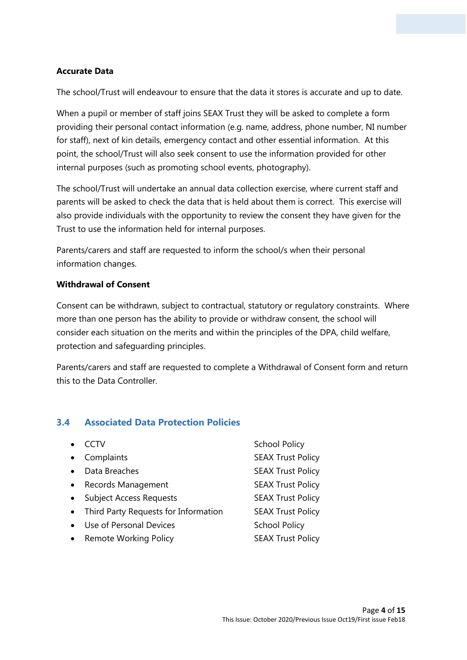#### **Accurate Data**

The school/Trust will endeavour to ensure that the data it stores is accurate and up to date.

When a pupil or member of staff joins SEAX Trust they will be asked to complete a form providing their personal contact information (e.g. name, address, phone number, NI number for staff), next of kin details, emergency contact and other essential information. At this point, the school/Trust will also seek consent to use the information provided for other internal purposes (such as promoting school events, photography).

The school/Trust will undertake an annual data collection exercise, where current staff and parents will be asked to check the data that is held about them is correct. This exercise will also provide individuals with the opportunity to review the consent they have given for the Trust to use the information held for internal purposes.

Parents/carers and staff are requested to inform the school/s when their personal information changes.

#### **Withdrawal of Consent**

Consent can be withdrawn, subject to contractual, statutory or regulatory constraints. Where more than one person has the ability to provide or withdraw consent, the school will consider each situation on the merits and within the principles of the DPA, child welfare, protection and safeguarding principles.

Parents/carers and staff are requested to complete a Withdrawal of Consent form and return this to the Data Controller.

#### **3.4 Associated Data Protection Policies**

|           | CCTV                                   | <b>School Policy</b>     |
|-----------|----------------------------------------|--------------------------|
| $\bullet$ | Complaints                             | <b>SEAX Trust Policy</b> |
|           | Data Breaches                          | <b>SEAX Trust Policy</b> |
| $\bullet$ | <b>Records Management</b>              | <b>SEAX Trust Policy</b> |
|           | • Subject Access Requests              | <b>SEAX Trust Policy</b> |
|           | • Third Party Requests for Information | <b>SEAX Trust Policy</b> |
| $\bullet$ | Use of Personal Devices                | <b>School Policy</b>     |
| $\bullet$ | <b>Remote Working Policy</b>           | <b>SEAX Trust Policy</b> |
|           |                                        |                          |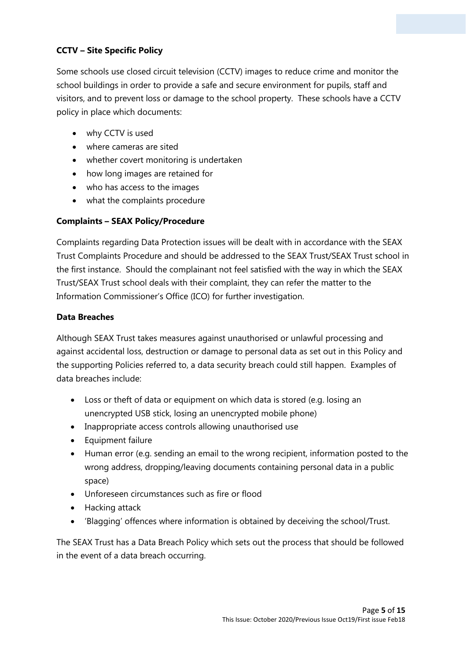#### **CCTV – Site Specific Policy**

Some schools use closed circuit television (CCTV) images to reduce crime and monitor the school buildings in order to provide a safe and secure environment for pupils, staff and visitors, and to prevent loss or damage to the school property. These schools have a CCTV policy in place which documents:

- why CCTV is used
- where cameras are sited
- whether covert monitoring is undertaken
- how long images are retained for
- who has access to the images
- what the complaints procedure

#### **Complaints – SEAX Policy/Procedure**

Complaints regarding Data Protection issues will be dealt with in accordance with the SEAX Trust Complaints Procedure and should be addressed to the SEAX Trust/SEAX Trust school in the first instance. Should the complainant not feel satisfied with the way in which the SEAX Trust/SEAX Trust school deals with their complaint, they can refer the matter to the Information Commissioner's Office (ICO) for further investigation.

#### **Data Breaches**

Although SEAX Trust takes measures against unauthorised or unlawful processing and against accidental loss, destruction or damage to personal data as set out in this Policy and the supporting Policies referred to, a data security breach could still happen. Examples of data breaches include:

- Loss or theft of data or equipment on which data is stored (e.g. losing an unencrypted USB stick, losing an unencrypted mobile phone)
- Inappropriate access controls allowing unauthorised use
- Equipment failure
- Human error (e.g. sending an email to the wrong recipient, information posted to the wrong address, dropping/leaving documents containing personal data in a public space)
- Unforeseen circumstances such as fire or flood
- Hacking attack
- 'Blagging' offences where information is obtained by deceiving the school/Trust.

The SEAX Trust has a Data Breach Policy which sets out the process that should be followed in the event of a data breach occurring.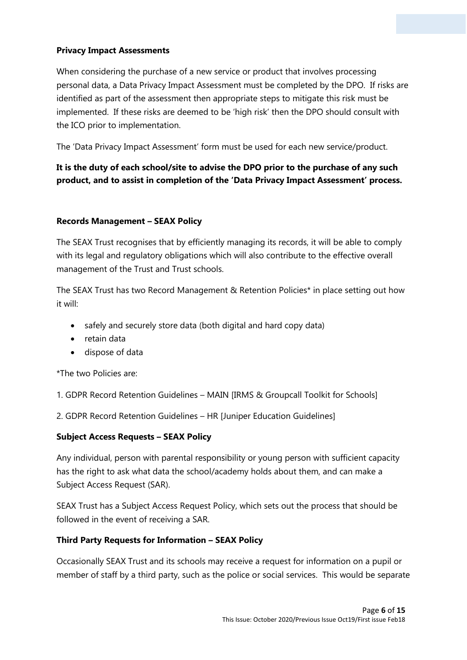#### **Privacy Impact Assessments**

When considering the purchase of a new service or product that involves processing personal data, a Data Privacy Impact Assessment must be completed by the DPO. If risks are identified as part of the assessment then appropriate steps to mitigate this risk must be implemented. If these risks are deemed to be 'high risk' then the DPO should consult with the ICO prior to implementation.

The 'Data Privacy Impact Assessment' form must be used for each new service/product.

#### **It is the duty of each school/site to advise the DPO prior to the purchase of any such product, and to assist in completion of the 'Data Privacy Impact Assessment' process.**

#### **Records Management – SEAX Policy**

The SEAX Trust recognises that by efficiently managing its records, it will be able to comply with its legal and regulatory obligations which will also contribute to the effective overall management of the Trust and Trust schools.

The SEAX Trust has two Record Management & Retention Policies\* in place setting out how it will:

- safely and securely store data (both digital and hard copy data)
- retain data
- dispose of data

\*The two Policies are:

1. GDPR Record Retention Guidelines – MAIN [IRMS & Groupcall Toolkit for Schools]

2. GDPR Record Retention Guidelines – HR [Juniper Education Guidelines]

#### **Subject Access Requests – SEAX Policy**

Any individual, person with parental responsibility or young person with sufficient capacity has the right to ask what data the school/academy holds about them, and can make a Subject Access Request (SAR).

SEAX Trust has a Subject Access Request Policy, which sets out the process that should be followed in the event of receiving a SAR.

#### **Third Party Requests for Information – SEAX Policy**

Occasionally SEAX Trust and its schools may receive a request for information on a pupil or member of staff by a third party, such as the police or social services. This would be separate